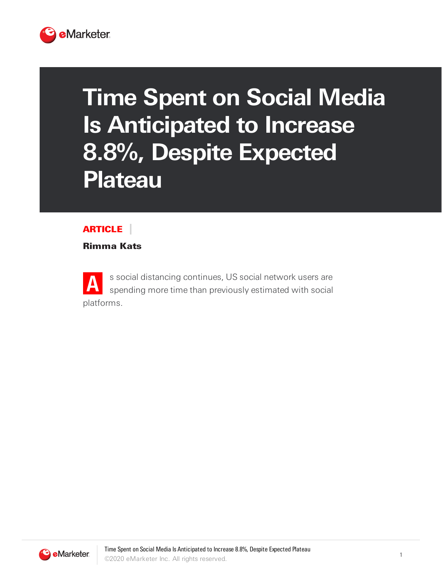

## **Time Spent on Social Media Is Anticipated to Increase 8.8%, Despite Expected Plateau**

## ARTICLE

Rimma Kats

**A** s social distancing continues, US social network users are spending more time than previously estimated with social platforms.

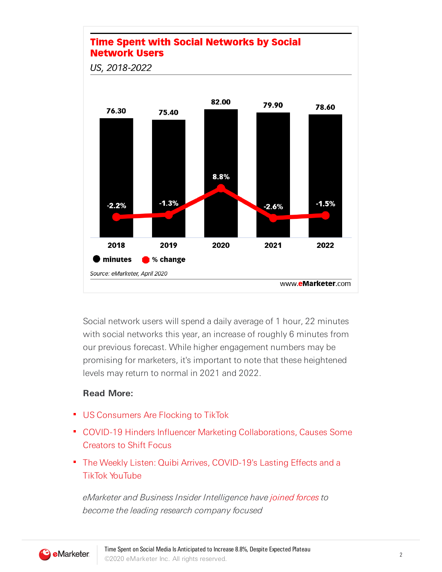

Social network users will spend a daily average of 1 hour, 22 minutes with social networks this year, an increase of roughly 6 minutes from our previous forecast. While higher engagement numbers may be promising for marketers, it's important to note that these heightened levels may return to normal in 2021 and 2022.

## **Read More:**

- **US Consumers Are Flocking to TikTok**
- COVID-19 Hinders Influencer Marketing Collaborations, Causes Some Creators to Shift Focus
- The Weekly Listen: Quibi Arrives, COVID-19's Lasting Effects and a TikTok YouTube

eMarketer and Business Insider Intelligence have [joined](https://e.businessinsider.com/click/19566259.64/aHR0cHM6Ly93d3cuYnVzaW5lc3NpbnNpZGVyLmNvbS9idXNpbmVzcy1pbnNpZGVyLWludGVsbGlnZW5jZS1lbWFya2V0ZXItbWVyZ2VyLWRldGFpbHMtMjAxOS03P3V0bV9zb3VyY2U9VHJpZ2dlcm1haWwmdXRtX21lZGl1bT1lbWFpbCZ1dG1fY2FtcGFpZ249UG9zdCUyMEJsYXN0JTIwYmlpLWRpZ2l0YWwtbWVkaWE6JTIwZU1hcmtldGVyJTIwZXN0aW1hdGVzJTIwdGhhdCUyMFNuYXBjaGF0JTI3cyUyMFVLJTIwdXNlciUyMGJhc2UlMjBncmV3JTIwZmFzdGVyJTIwaW4lMjAyMDE5JTIwdGhhbiUyMHByZXZpb3VzbHklMjBleHBlY3RlZCZ1dG1fdGVybT1CSUklMjBMaXN0JTIwRE1lZGlhJTIwQ29udGVudCUyME9OTFk/5b885b9fb43a611bf17b08c3B0cd3ee9a) forces to become the leading research company focused